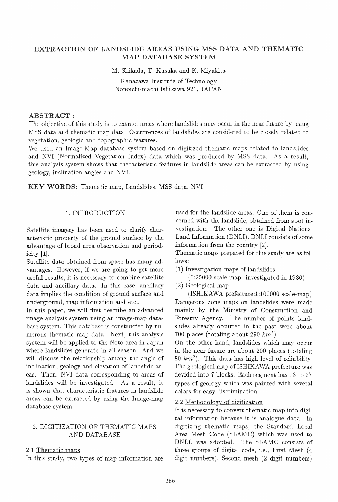# EXTRACTION OF LANDSLIDE AREAS USING MSS DATA AND THEMATIC MAP DATABASE SYSTEM

M. Shikada, T. Kusaka and K. Miyakita

Kanazawa Institute of Technology Nonoichi-machi Ishikawa 921, JAPAN

#### ABSTRACT:

The objective of this study is to extract areas where landslides may occur in the near future by using MSS data and thematic map data. Occurrences of landslides are considered to be closely related to vegetation, geologic and topographic features.

We used an Image-Map database system based on digitized thematic maps related to landslides and NVI (Normalized Vegetation Index) data which was produced by MSS data. As a result, this analysis system shows that characteristic features in landslide areas can be extracted by using geology, inclination angles and NVI.

KEY WORDS: Thematic map, Landslides, MSS data, NVI

## 1. INTRODUCTION

Satellite imagery has been used to clarify characteristic property of the ground surface by the advantage of broad area observation and periodicity [1].

Satellite data obtained from space has many advantages. However, if we are going to get more useful results, it is necessary to combine satellite data and ancillary data. In this case, ancillary data implies the condition of ground surface and underground, map information and etc..

In this paper, we will first describe an advanced image analysis system using an image-map database system. This database is constructed by numerous thematic map data. Next, this analysis system will be applied to the Noto area in Japan where landslides generate in all season. And we will discuss the relationship among the angle of inclination, geology and elevation of landslide areas. Then, NVI data corresponding to areas of landslides will be investigated. As a result, it is shown that characteristic features in landslide areas can be extracted by using the Image-map database system.

## 2. DIGITIZATION OF THEMATIC MAPS AND DATABASE

#### 2.1 Thematic maps

In this study, two types of map information are

used for the landslide areas. One of them is concerned with the landslide, obtained from spot investigation. The other one is Digital National Land Information (DNLI). DNLI consists of some information from the country [2].

Thematic maps prepared for this study are as follows:

(1) Investigation maps of landslides.

(1:2S000-scale map: investigated in 1986)

(2) Geological map

(ISHIKAWA prefecture:1:100000 scale-map) Dangerous zone maps on landslides were made mainly by the Ministry of Construction and Forestry Agency. The number of points landslides already occurred in the past were about 700 places (totaling about 290 *km2 ).* 

On the other hand, landslides which may occur in the near future are about 200 places (totaling *80 km2 ).* This data has high level of reliability. The geological map of ISHIKAWA prefecture was devided into 7 blocks. Each segment has 13 to 27 types of geology which was painted with several colors for easy discrimination.

## 2.2 Methodology of dizitization

It is necessary to convert thematic map into digital information because it is analogue data. In digitizing thematic maps, the Standard Local Area Mesh Code (SLAMC) which was used to DNLI, was adopted. The SLAMC consists of three groups of digital code, i.e., First Mesh (4 digit numbers), Second mesh (2 digit numbers)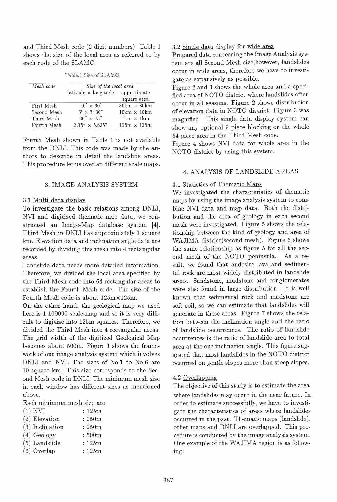and Third Mesh code (2 digit numbers). Table 1 shows the size of the local area as referred to by each code of the SLAMC.

| Mesh code   | Size of the local area                 |                                    |  |  |
|-------------|----------------------------------------|------------------------------------|--|--|
|             | $lattice \times longitude$ approximate |                                    |  |  |
|             |                                        | square area                        |  |  |
| First Mesh  | $40' \times 60'$                       | $80 \text{km} \times 80 \text{km}$ |  |  |
| Second Mesh | $5' \times 7'$ 30"                     | $10km \times 10km$                 |  |  |
| Third Mesh  | $30'' \times 45''$                     | $1 \text{km} \times 1 \text{km}$   |  |  |
| Fourth Mesh | $3.75'' \times 5.625''$                | $125m \times 125m$                 |  |  |

Table.1 Size of SLAMC

Fourth Mesh shown in Table 1 is not available from the DNLI. This code was made by the authors to describe in detail the landslide areas. This procedure let us overlap different scale maps.

## 3. IMAGE ANALYSIS SYSTEM

#### 3.1 Multi data display

To investigate the basic relations among DNLI, NVI and digitized thematic map data, we constructed an Image-Map database system [4]. Third Mesh in DNLI has approximately 1 square km. Elevation data and inclination angle data are recorded by dividing this mesh into 4 rectangular areas.

Landslide data needs more detailed information. Therefore, we divided the local area specified by the Third Mesh code into 64 rectangular areas to establish the Fourth Mesh code. The size of the Fourth Mesh code is about 125mx 125m.

On the other hand, the geological map we used here is 1:100000 scale-map and so it is very difficult to digitize into 125m squares. Therefore, we divided the Third Mesh into 4 rectangular areas. The grid width of the digitized Geological Map becomes about 500m. Figure 1 shows the framework of our image analysis system which involves DNLI and NVI. The sizes of No.1 to No.6 are 10 square km. This size corresponds to the Second Mesh code in DNLI. The minimum mesh size in each window has different sizes as mentioned above.

Each minimum mesh size are

| $(1)$ NVI         | $:125\mathrm{m}$ |
|-------------------|------------------|
| $(2)$ Elevation   | : 250m           |
| $(3)$ Inclination | : 250m           |
| $(4)$ Geology     | :500m            |
| $(5)$ Landslide   | :125m            |
| (6) Overlap       | $:125\mathrm{m}$ |
|                   |                  |

#### 3.2 Single data display for wide area

Prepared data concerning the Image Analysis system are all Second Mesh size, however, landslides occur in wide areas, therefore we have to investigate as expansively as possible.

Figure 2 and 3 shows the whole area and a specified area of NOTO district where landslides often occur in all seasons. Figure 2 shows distribution of elevation data in NOTO district. Figure 3 was magnified. This single data display system can show any optional 9 piece blocking or the whole 54 piece area in the Third Mesh code.

Figure 4 shows NVI data for whole area in the NOTO district by using this system.

# 4. ANALYSIS OF LANDSLIDE AREAS

#### 4.1 Statistics of Thematic Maps

We investigated the characteristics of thematic maps by using the image analysis system to combine NVI data and map data. Both the distribution and the area of geology in each second mesh were investigated. Figure 5 shows the relationship between the kind of geology and area of WAJIMA district(second mesh). Figure 6 shows the same relationship as figure 5 for all the second mesh of the NOTO peninsula. As a result, we found that andesite lava and sedimental rock are most widely distributed in landslide areas. Sandstone, mudstone and conglomerates were also found in large distribution. It is well known that sedimental rock and mudstone are soft soil, so we can estimate that landslides will generate in these areas. Figure 7 shows the relation between the inclination angle and the ratio of landslide occurrences. The ratio of landslide occurrences is the ratio of landslide area to total area at the one inclination angle. This figure suggested that most landslides in the NOTO district occurred on gentle slopes more than steep slopes.

#### 4.2 Overlapping

The objective of this study is to estimate the area where landslides may occur in the near future. In order to estimate successfully, we have to investigate the characteristics of areas where landslides occurred in the past. Thematic maps (landslide), other maps and DNLI are overlapped. This procedure is conducted by the image analysis system. One example of the WAJIMA region is as following: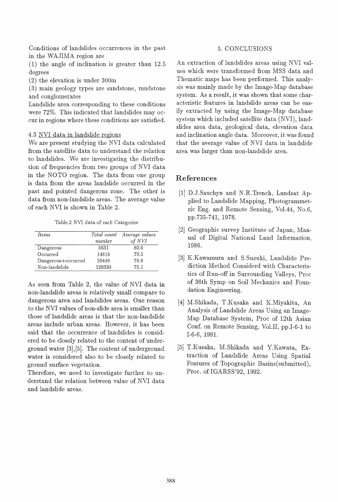Conditions of landslides occurrences in the past in the WAJIMA region are

(1) the angle of inclination is greater than 12.5 degrees

(2) the elevation is under 300m

(3) main geology types are sandstone, mudstone and conglomerates

Landslide area corresponding to these conditions were 72%. This indicated that landslides may occur in regions where these conditions are satisfied.

## 4.3 NVI data in landslide regions

We are present studying the NVI data calculated from the satellite data to understand the relation to landslides. We are investigating the distribution of frequencies from two groups of NVI data in the NOTO region. The data from one group is data from the areas landslide occurred in the past and pointed dangerous zone. The other is data from non-landslide areas. The average value of each NVI is shown in Table 2.

Table.2 NVI data of each Categories

| <i>Items</i>       | number | Total count Average values<br>of NVI |
|--------------------|--------|--------------------------------------|
| Dangerous          | 5631   | 80.6                                 |
| Occurred           | 14818  | 79.5                                 |
| Dangerous+occurred | 20449  | 79.8                                 |
| Non-landslide      | 129330 | 75.1                                 |

As seen from Table 2, the value of NVI data in non-landslide areas is relatively small compare to dangerous area and landslides areas. One reason to the NVI values of non-slide area is smaller than those of landslide areas is that the non-landslide areas include urban areas. However, it has been said that the occurrence of landslides is considered to be closely related to the content of underground water [3], [5]. The content of underground water is considered also to be closely related to ground surface vegetation.

Therefore, we need to investigate further to understand the relation between value of NVI data and landslide areas.

# 5. CONCLUSIONS

An extraction of landslides areas using NVI values which were transformed from MSS data and Thematic maps has been performed. This analysis was mainly made by the Image-Map database system. As a result, it was shown that some characteristic features in landslide areas can be easily extracted by using the Image-Map database system which included satellite data (NVI), landslides area data, geological data, elevation data and inclination angle data. Moreover, it was found that the average value of NVI data in landslide area was larger than non-landslide area.

# References

- [1] D.J.Sauchyn and N.R.Trench, Landsat Applied to Landslide Mapping, Photogrammetric Eng. and Remote Sensing, Vol.44, No.6, pp.735-741, 1978.
- [2] Geographic survey Institute of Japan, Manual of Digital National Land Information, 1986.
- [3] K.Kawamura and S.Suzuki, Landslide Prediction Method Considerd with Characteristics of Run-off in Surrounding Valleys, Proc of 36th Symp on Soil Mechanics and Foundation Engineering.
- [4] M.Shikada, T.Kusaka and K.Miyakita, An Analysis of Landslide Areas Using an Image-Map Database System, Proc of 12th Asian Conf. on Remote Sensing, Vol.II, pp.I-6-1 to 1-6-6, 1991.
- [5] T.Kusaka, M.Shikada and Y.Kawata, Extraction of Landslide Areas Using Spatial Features of Topographic Basins(submitted), Proc. of IGARSS'92, 1992.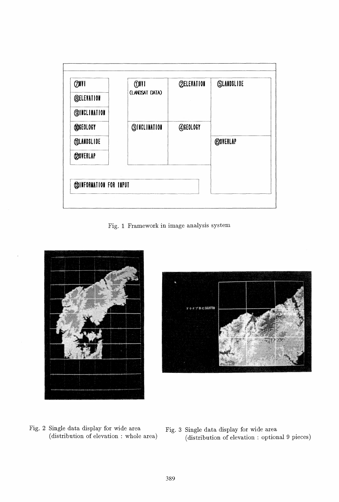

Fig. 1 Framework in image analysis system





- Fig. 2 Single data display for wide area (distribution of elevation: whole area)
- Fig. 3 Single data display for wide area (distribution of elevation: optional 9 pieces)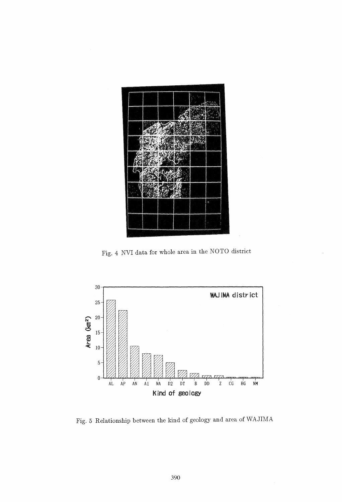

Fig. 4 NVI data for whole area in the NOTO district



Fig. 5 Relationship between the kind of geology and area of WAJIMA